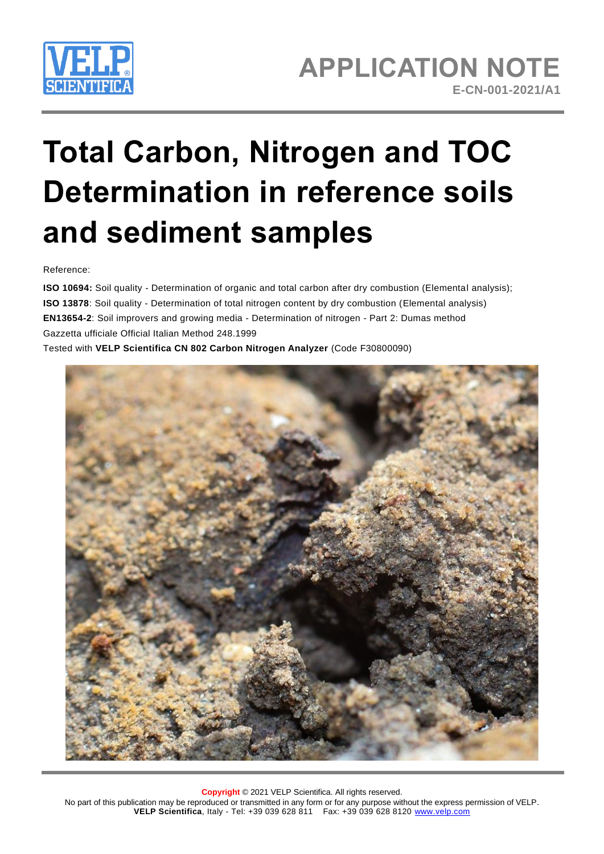

# **Total Carbon, Nitrogen and TOC Determination in reference soils and sediment samples**

Reference:

**ISO 10694:** Soil quality - Determination of organic and total carbon after dry combustion (Elemental analysis); **ISO 13878**: Soil quality - Determination of total nitrogen content by dry combustion (Elemental analysis) **EN13654-2**: Soil improvers and growing media - Determination of nitrogen - Part 2: Dumas method Gazzetta ufficiale Official Italian Method 248.1999 Tested with **VELP Scientifica CN 802 Carbon Nitrogen Analyzer** (Code F30800090)

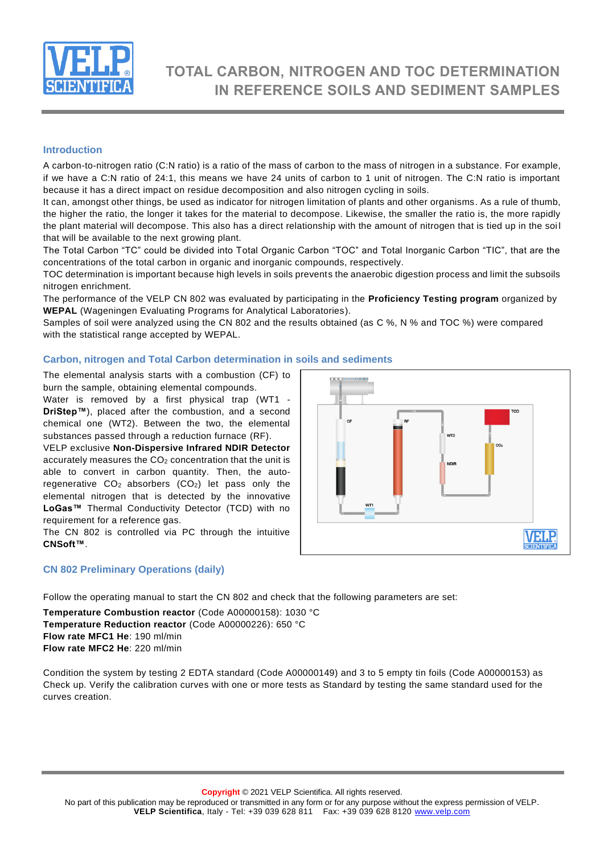

# **TOTAL CARBON, NITROGEN AND TOC DETERMINATION IN REFERENCE SOILS AND SEDIMENT SAMPLES**

# **Introduction**

A carbon-to-nitrogen ratio (C:N ratio) is a ratio of the mass of carbon to the mass of nitrogen in a substance. For example, if we have a C:N ratio of 24:1, this means we have 24 units of carbon to 1 unit of nitrogen. The C:N ratio is important because it has a direct impact on residue decomposition and also nitrogen cycling in soils.

It can, amongst other things, be used as indicator for nitrogen limitation of plants and other organisms. As a rule of thumb, the higher the ratio, the longer it takes for the material to decompose. Likewise, the smaller the ratio is, the more rapidly the plant material will decompose. This also has a direct relationship with the amount of nitrogen that is tied up in the soi l that will be available to the next growing plant.

The Total Carbon "TC" could be divided into Total Organic Carbon "TOC" and Total Inorganic Carbon "TIC", that are the concentrations of the total carbon in organic and inorganic compounds, respectively.

TOC determination is important because high levels in soils prevents the anaerobic digestion process and limit the subsoils nitrogen enrichment.

The performance of the VELP CN 802 was evaluated by participating in the **Proficiency Testing program** organized by **WEPAL** (Wageningen Evaluating Programs for Analytical Laboratories).

Samples of soil were analyzed using the CN 802 and the results obtained (as C %, N % and TOC %) were compared with the statistical range accepted by WEPAL.

# **Carbon, nitrogen and Total Carbon determination in soils and sediments**

The elemental analysis starts with a combustion (CF) to burn the sample, obtaining elemental compounds.

Water is removed by a first physical trap (WT1 - **DriStep™**), placed after the combustion, and a second chemical one (WT2). Between the two, the elemental substances passed through a reduction furnace (RF).

VELP exclusive **Non-Dispersive Infrared NDIR Detector** accurately measures the CO<sub>2</sub> concentration that the unit is able to convert in carbon quantity. Then, the autoregenerative CO<sub>2</sub> absorbers (CO<sub>2</sub>) let pass only the elemental nitrogen that is detected by the innovative **LoGas™** Thermal Conductivity Detector (TCD) with no requirement for a reference gas.

The CN 802 is controlled via PC through the intuitive **CNSoft™**.

### **CN 802 Preliminary Operations (daily)**



Follow the operating manual to start the CN 802 and check that the following parameters are set:

**Temperature Combustion reactor** (Code A00000158): 1030 °C **Temperature Reduction reactor** (Code A00000226): 650 °C **Flow rate MFC1 He**: 190 ml/min **Flow rate MFC2 He**: 220 ml/min

Condition the system by testing 2 EDTA standard (Code A00000149) and 3 to 5 empty tin foils (Code A00000153) as Check up. Verify the calibration curves with one or more tests as Standard by testing the same standard used for the curves creation.

No part of this publication may be reproduced or transmitted in any form or for any purpose without the express permission of VELP. **VELP Scientifica**, Italy - Tel: +39 039 628 811 Fax: +39 039 628 8120 [www.velp.com](http://www.velp.com/)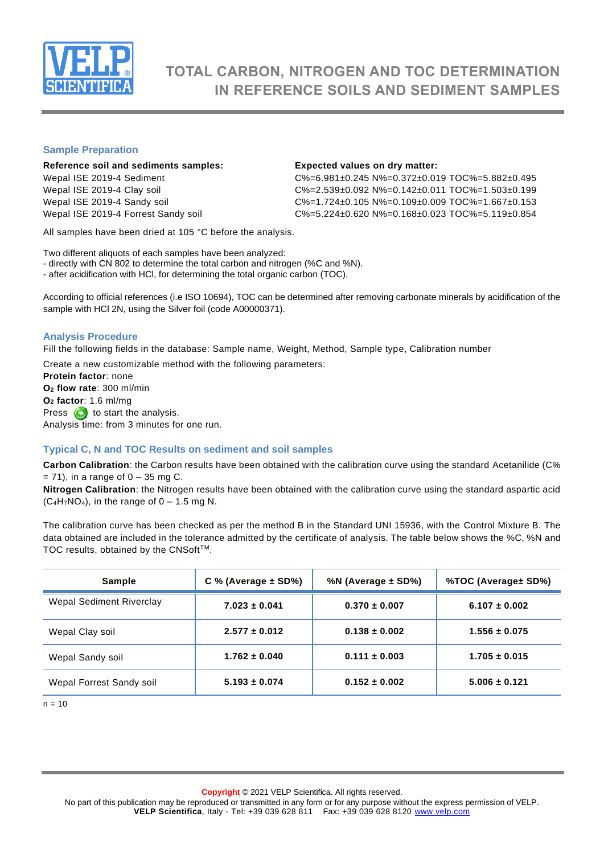

# **TOTAL CARBON, NITROGEN AND TOC DETERMINATION IN REFERENCE SOILS AND SEDIMENT SAMPLES**

## **Sample Preparation**

### **Reference soil and sediments samples: Expected values on dry matter:**

Wepal ISE 2019-4 Sediment C%=6.981±0.245 N%=0.372±0.019 TOC%=5.882±0.495 Wepal ISE 2019-4 Clay soil  $C\% = 2.539 \pm 0.092$  N%=0.142 $\pm$ 0.011 TOC%=1.503 $\pm$ 0.199 Wepal ISE 2019-4 Sandy soil C%=1.724±0.105 N%=0.109±0.009 TOC%=1.667±0.153 Wepal ISE 2019-4 Forrest Sandy soil C%=5.224±0.620 N%=0.168±0.023 TOC%=5.119±0.854

All samples have been dried at 105 °C before the analysis.

Two different aliquots of each samples have been analyzed:

- directly with CN 802 to determine the total carbon and nitrogen (%C and %N).

- after acidification with HCl, for determining the total organic carbon (TOC).

According to official references (i.e ISO 10694), TOC can be determined after removing carbonate minerals by acidification of the sample with HCl 2N, using the Silver foil (code A00000371).

# **Analysis Procedure**

Fill the following fields in the database: Sample name, Weight, Method, Sample type, Calibration number

Create a new customizable method with the following parameters:

**Protein factor**: none **O<sup>2</sup> flow rate**: 300 ml/min **O<sup>2</sup> factor**: 1.6 ml/mg Press  $\bigodot$  to start the analysis. Analysis time: from 3 minutes for one run.

### **Typical C, N and TOC Results on sediment and soil samples**

**Carbon Calibration**: the Carbon results have been obtained with the calibration curve using the standard Acetanilide (C%  $= 71$ ), in a range of  $0 - 35$  mg C.

**Nitrogen Calibration**: the Nitrogen results have been obtained with the calibration curve using the standard aspartic acid  $(C_4H_7NO_4)$ , in the range of  $0 - 1.5$  mg N.

The calibration curve has been checked as per the method B in the Standard UNI 15936, with the Control Mixture B. The data obtained are included in the tolerance admitted by the certificate of analysis. The table below shows the %C, %N and TOC results, obtained by the CNSoft™.

| <b>Sample</b>            | $C$ % (Average $\pm$ SD%) | %N (Average $\pm$ SD%) | %TOC (Average± SD%) |
|--------------------------|---------------------------|------------------------|---------------------|
| Wepal Sediment Riverclay | $7.023 \pm 0.041$         | $0.370 \pm 0.007$      | $6.107 \pm 0.002$   |
| Wepal Clay soil          | $2.577 \pm 0.012$         | $0.138 \pm 0.002$      | $1.556 \pm 0.075$   |
| Wepal Sandy soil         | $1.762 \pm 0.040$         | $0.111 \pm 0.003$      | $1.705 \pm 0.015$   |
| Wepal Forrest Sandy soil | $5.193 \pm 0.074$         | $0.152 \pm 0.002$      | $5.006 \pm 0.121$   |

 $n = 10$ 

**Copyright** © 2021 VELP Scientifica. All rights reserved.

No part of this publication may be reproduced or transmitted in any form or for any purpose without the express permission of VELP. **VELP Scientifica**, Italy - Tel: +39 039 628 811 Fax: +39 039 628 8120 [www.velp.com](http://www.velp.com/)